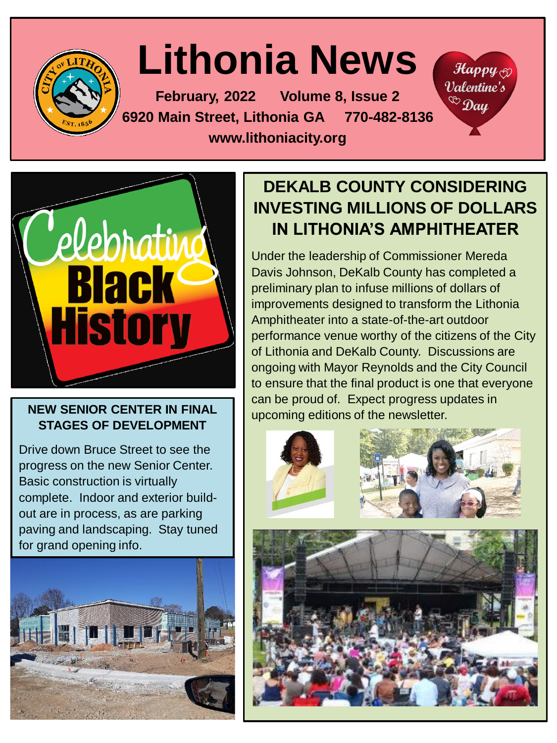

# **Lithonia News**

**February, 2022 Volume 8, Issue 2 6920 Main Street, Lithonia GA 770-482-8136 www.lithoniacity.org**



# **STAGES OF DEVELOPMENT**

Drive down Bruce Street to see the progress on the new Senior Center. Basic construction is virtually complete. Indoor and exterior buildout are in process, as are parking paving and landscaping. Stay tuned for grand opening info.



### **DEKALB COUNTY CONSIDERING INVESTING MILLIONS OF DOLLARS IN LITHONIA'S AMPHITHEATER**

 $\mathcal{H}$ appy $\otimes$ Valentine's  ${}^{\circledR}$  Day

Under the leadership of Commissioner Mereda Davis Johnson, DeKalb County has completed a preliminary plan to infuse millions of dollars of improvements designed to transform the Lithonia Amphitheater into a state-of-the-art outdoor performance venue worthy of the citizens of the City of Lithonia and DeKalb County. Discussions are ongoing with Mayor Reynolds and the City Council to ensure that the final product is one that everyone can be proud of. Expect progress updates in NEW SENIOR CENTER IN FINAL **Department of the newsletter.** 

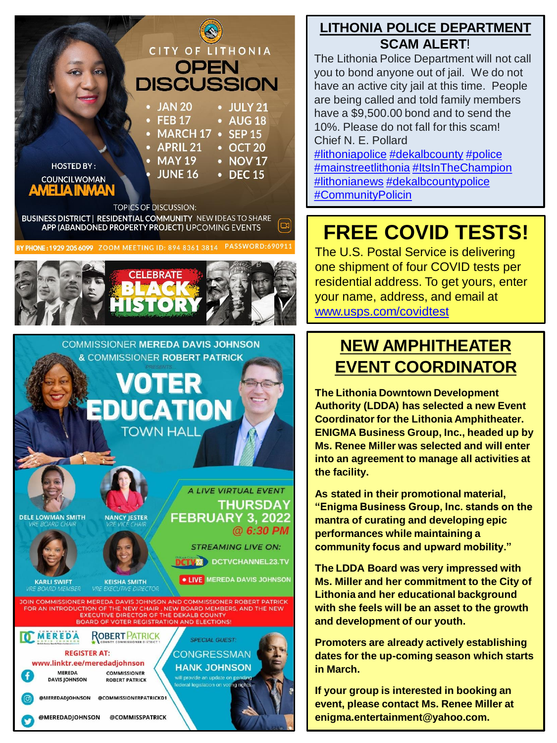

BUSINESS DISTRICT | RESIDENTIAL COMMUNITY NEW IDEAS TO SHARE  $\mathbb{Z}$ APP (ABANDONED PROPERTY PROJECT) UPCOMING EVENTS

BY PHONE: 1929 205 6099 ZOOM MEETING ID: 894 8361 3814 PASSWORD: 690911





#### **[LITHONIA POLICE DEPARTMENT](https://www.facebook.com/LithoniaCityPolice/?__cft__%5b0%5d=AZXOLi09GTE3hK0ZD5BF8cz7Dy6QsHA548LUcVyvqgN9TjNJ_Evtjfm7PrOpSbfgC7Dx6hsDDF_LgpOUhzuYOGIR5vduQOvBuBUiC5iC5KX2NVTCAFn9GkaxNvWIye-rKPYL-c2LPCtdlVYf9uUMY8l0JClPIs0iW1qJnvThP2R0Sg&__tn__=-UC%2CP-y-R) SCAM ALERT**!

The Lithonia Police Department will not call you to bond anyone out of jail. We do not have an active city jail at this time. People are being called and told family members have a \$9,500.00 bond and to send the 10%. Please do not fall for this scam! Chief N. E. Pollard

[#lithoniapolice](https://www.facebook.com/hashtag/lithoniapolice?__eep__=6&__cft__%5b0%5d=AZXOLi09GTE3hK0ZD5BF8cz7Dy6QsHA548LUcVyvqgN9TjNJ_Evtjfm7PrOpSbfgC7Dx6hsDDF_LgpOUhzuYOGIR5vduQOvBuBUiC5iC5KX2NVTCAFn9GkaxNvWIye-rKPYL-c2LPCtdlVYf9uUMY8l0JClPIs0iW1qJnvThP2R0Sg&__tn__=*NK-y-R) [#dekalbcounty](https://www.facebook.com/hashtag/dekalbcounty?__eep__=6&__cft__%5b0%5d=AZXOLi09GTE3hK0ZD5BF8cz7Dy6QsHA548LUcVyvqgN9TjNJ_Evtjfm7PrOpSbfgC7Dx6hsDDF_LgpOUhzuYOGIR5vduQOvBuBUiC5iC5KX2NVTCAFn9GkaxNvWIye-rKPYL-c2LPCtdlVYf9uUMY8l0JClPIs0iW1qJnvThP2R0Sg&__tn__=*NK-y-R) [#police](https://www.facebook.com/hashtag/police?__eep__=6&__cft__%5b0%5d=AZXOLi09GTE3hK0ZD5BF8cz7Dy6QsHA548LUcVyvqgN9TjNJ_Evtjfm7PrOpSbfgC7Dx6hsDDF_LgpOUhzuYOGIR5vduQOvBuBUiC5iC5KX2NVTCAFn9GkaxNvWIye-rKPYL-c2LPCtdlVYf9uUMY8l0JClPIs0iW1qJnvThP2R0Sg&__tn__=*NK-y-R) [#mainstreetlithonia](https://www.facebook.com/hashtag/mainstreetlithonia?__eep__=6&__cft__%5b0%5d=AZXOLi09GTE3hK0ZD5BF8cz7Dy6QsHA548LUcVyvqgN9TjNJ_Evtjfm7PrOpSbfgC7Dx6hsDDF_LgpOUhzuYOGIR5vduQOvBuBUiC5iC5KX2NVTCAFn9GkaxNvWIye-rKPYL-c2LPCtdlVYf9uUMY8l0JClPIs0iW1qJnvThP2R0Sg&__tn__=*NK-y-R) [#ItsInTheChampion](https://www.facebook.com/hashtag/itsinthechampion?__eep__=6&__cft__%5b0%5d=AZXOLi09GTE3hK0ZD5BF8cz7Dy6QsHA548LUcVyvqgN9TjNJ_Evtjfm7PrOpSbfgC7Dx6hsDDF_LgpOUhzuYOGIR5vduQOvBuBUiC5iC5KX2NVTCAFn9GkaxNvWIye-rKPYL-c2LPCtdlVYf9uUMY8l0JClPIs0iW1qJnvThP2R0Sg&__tn__=*NK-y-R) [#lithonianews](https://www.facebook.com/hashtag/lithonianews?__eep__=6&__cft__%5b0%5d=AZXOLi09GTE3hK0ZD5BF8cz7Dy6QsHA548LUcVyvqgN9TjNJ_Evtjfm7PrOpSbfgC7Dx6hsDDF_LgpOUhzuYOGIR5vduQOvBuBUiC5iC5KX2NVTCAFn9GkaxNvWIye-rKPYL-c2LPCtdlVYf9uUMY8l0JClPIs0iW1qJnvThP2R0Sg&__tn__=*NK-y-R) [#dekalbcountypolice](https://www.facebook.com/hashtag/dekalbcountypolice?__eep__=6&__cft__%5b0%5d=AZXOLi09GTE3hK0ZD5BF8cz7Dy6QsHA548LUcVyvqgN9TjNJ_Evtjfm7PrOpSbfgC7Dx6hsDDF_LgpOUhzuYOGIR5vduQOvBuBUiC5iC5KX2NVTCAFn9GkaxNvWIye-rKPYL-c2LPCtdlVYf9uUMY8l0JClPIs0iW1qJnvThP2R0Sg&__tn__=*NK-y-R) [#CommunityPolicin](https://www.facebook.com/hashtag/communitypolicin?__eep__=6&__cft__%5b0%5d=AZXOLi09GTE3hK0ZD5BF8cz7Dy6QsHA548LUcVyvqgN9TjNJ_Evtjfm7PrOpSbfgC7Dx6hsDDF_LgpOUhzuYOGIR5vduQOvBuBUiC5iC5KX2NVTCAFn9GkaxNvWIye-rKPYL-c2LPCtdlVYf9uUMY8l0JClPIs0iW1qJnvThP2R0Sg&__tn__=*NK-y-R)

### **FREE COVID TESTS!**

The U.S. Postal Service is delivering one shipment of four COVID tests per residential address. To get yours, enter your name, address, and email at [www.usps.com/covidtest](http://www.usps.com/covidtest)

### **NEW AMPHITHEATER EVENT COORDINATOR**

**The Lithonia Downtown Development Authority (LDDA) has selected a new Event Coordinator for the Lithonia Amphitheater. ENIGMA Business Group, Inc., headed up by Ms. Renee Miller was selected and will enter into an agreement to manage all activities at the facility.**

**As stated in their promotional material, "Enigma Business Group, Inc. stands on the mantra of curating and developing epic performances while maintaining a community focus and upward mobility."**

**The LDDA Board was very impressed with Ms. Miller and her commitment to the City of Lithonia and her educational background with she feels will be an asset to the growth and development of our youth.**

**Promoters are already actively establishing dates for the up-coming season which starts in March.**

**If your group is interested in booking an event, please contact Ms. Renee Miller at enigma.entertainment@yahoo.com.**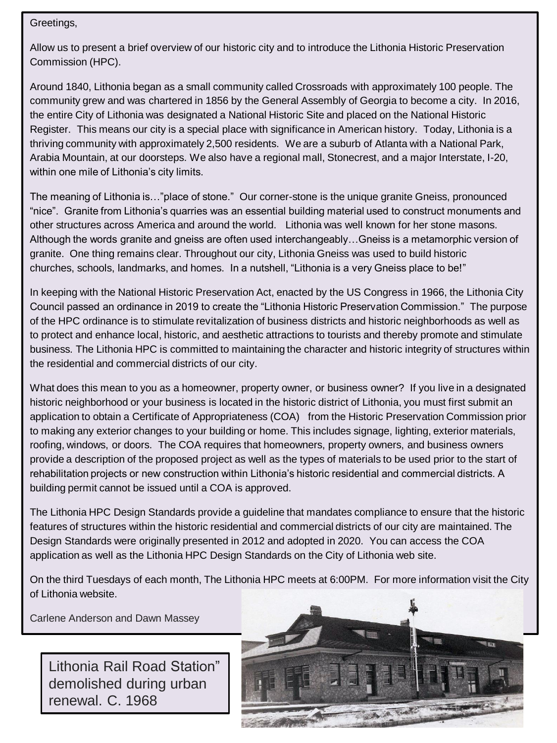Greetings,

Allow us to present a brief overview of our historic city and to introduce the Lithonia Historic Preservation Commission (HPC).

Around 1840, Lithonia began as a small community called Crossroads with approximately 100 people. The community grew and was chartered in 1856 by the General Assembly of Georgia to become a city. In 2016, the entire City of Lithonia was designated a National Historic Site and placed on the National Historic Register. This means our city is a special place with significance in American history. Today, Lithonia is a thriving community with approximately 2,500 residents. We are a suburb of Atlanta with a National Park, Arabia Mountain, at our doorsteps. We also have a regional mall, Stonecrest, and a major Interstate, I-20, within one mile of Lithonia's city limits.

The meaning of Lithonia is…"place of stone." Our corner-stone is the unique granite Gneiss, pronounced "nice". Granite from Lithonia's quarries was an essential building material used to construct monuments and other structures across America and around the world. Lithonia was well known for her stone masons. Although the words granite and gneiss are often used interchangeably…Gneiss is a metamorphic version of granite. One thing remains clear. Throughout our city, Lithonia Gneiss was used to build historic churches, schools, landmarks, and homes. In a nutshell, "Lithonia is a very Gneiss place to be!"

In keeping with the National Historic Preservation Act, enacted by the US Congress in 1966, the Lithonia City Council passed an ordinance in 2019 to create the "Lithonia Historic Preservation Commission." The purpose of the HPC ordinance is to stimulate revitalization of business districts and historic neighborhoods as well as to protect and enhance local, historic, and aesthetic attractions to tourists and thereby promote and stimulate business. The Lithonia HPC is committed to maintaining the character and historic integrity of structures within the residential and commercial districts of our city.

What does this mean to you as a homeowner, property owner, or business owner? If you live in a designated historic neighborhood or your business is located in the historic district of Lithonia, you must first submit an application to obtain a Certificate of Appropriateness (COA) from the Historic Preservation Commission prior to making any exterior changes to your building or home. This includes signage, lighting, exterior materials, roofing, windows, or doors. The COA requires that homeowners, property owners, and business owners provide a description of the proposed project as well as the types of materials to be used prior to the start of rehabilitation projects or new construction within Lithonia's historic residential and commercial districts. A building permit cannot be issued until a COA is approved.

The Lithonia HPC Design Standards provide a guideline that mandates compliance to ensure that the historic features of structures within the historic residential and commercial districts of our city are maintained. The Design Standards were originally presented in 2012 and adopted in 2020. You can access the COA application as well as the Lithonia HPC Design Standards on the City of Lithonia web site.

On the third Tuesdays of each month, The Lithonia HPC meets at 6:00PM. For more information visit the City of Lithonia website.

Carlene Anderson and Dawn Massey

Lithonia Rail Road Station" demolished during urban renewal. C. 1968